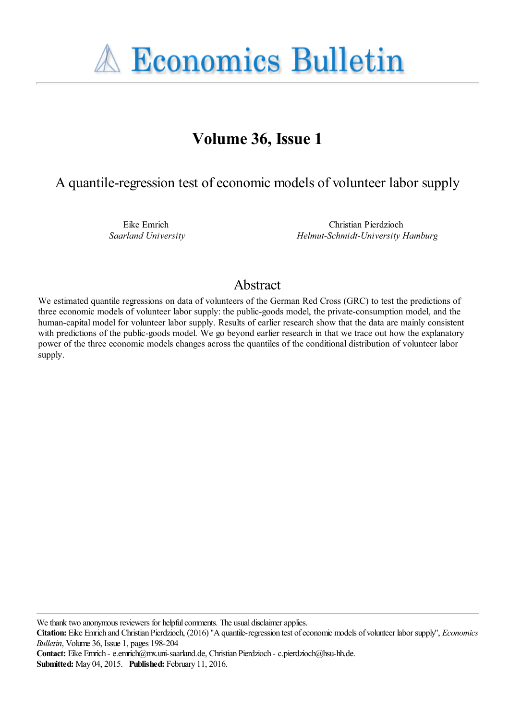**A Economics Bulletin** 

# **Volume 36, Issue 1**

A quantile-regression test of economic models of volunteer labor supply

Eike Emrich *Saarland University*

Christian Pierdzioch *Helmut-Schmidt-University Hamburg*

## Abstract

We estimated quantile regressions on data of volunteers of the German Red Cross (GRC) to test the predictions of three economic models of volunteer labor supply: the public-goods model, the private-consumption model, and the human-capital model for volunteer labor supply. Results of earlier research show that the data are mainly consistent with predictions of the public-goods model. We go beyond earlier research in that we trace out how the explanatory power of the three economic models changes across the quantiles of the conditional distribution of volunteer labor supply.

We thank two anonymous reviewers for helpful comments. The usual disclaimer applies.

**Citation:** Eike Emrich and Christian Pierdzioch, (2016) ''A quantile-regression test of economic models of volunteer labor supply'', *Economics Bulletin*, Volume 36, Issue 1, pages 198-204

**Contact:** Eike Emrich - e.emrich@mx.uni-saarland.de, Christian Pierdzioch - c.pierdzioch@hsu-hh.de. **Submitted:** May 04, 2015. **Published:** February 11, 2016.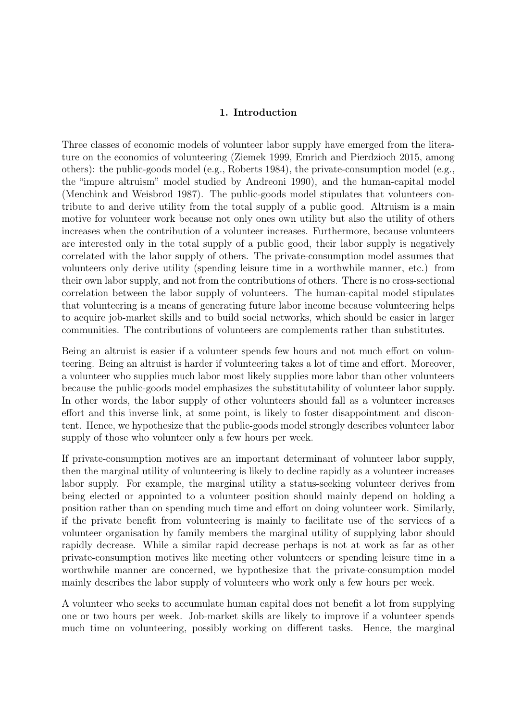#### 1. Introduction

Three classes of economic models of volunteer labor supply have emerged from the literature on the economics of volunteering (Ziemek 1999, Emrich and Pierdzioch 2015, among others): the public-goods model (e.g., Roberts 1984), the private-consumption model (e.g., the "impure altruism" model studied by Andreoni 1990), and the human-capital model (Menchink and Weisbrod 1987). The public-goods model stipulates that volunteers contribute to and derive utility from the total supply of a public good. Altruism is a main motive for volunteer work because not only ones own utility but also the utility of others increases when the contribution of a volunteer increases. Furthermore, because volunteers are interested only in the total supply of a public good, their labor supply is negatively correlated with the labor supply of others. The private-consumption model assumes that volunteers only derive utility (spending leisure time in a worthwhile manner, etc.) from their own labor supply, and not from the contributions of others. There is no cross-sectional correlation between the labor supply of volunteers. The human-capital model stipulates that volunteering is a means of generating future labor income because volunteering helps to acquire job-market skills and to build social networks, which should be easier in larger communities. The contributions of volunteers are complements rather than substitutes.

Being an altruist is easier if a volunteer spends few hours and not much effort on volunteering. Being an altruist is harder if volunteering takes a lot of time and effort. Moreover, a volunteer who supplies much labor most likely supplies more labor than other volunteers because the public-goods model emphasizes the substitutability of volunteer labor supply. In other words, the labor supply of other volunteers should fall as a volunteer increases effort and this inverse link, at some point, is likely to foster disappointment and discontent. Hence, we hypothesize that the public-goods model strongly describes volunteer labor supply of those who volunteer only a few hours per week.

If private-consumption motives are an important determinant of volunteer labor supply, then the marginal utility of volunteering is likely to decline rapidly as a volunteer increases labor supply. For example, the marginal utility a status-seeking volunteer derives from being elected or appointed to a volunteer position should mainly depend on holding a position rather than on spending much time and effort on doing volunteer work. Similarly, if the private benefit from volunteering is mainly to facilitate use of the services of a volunteer organisation by family members the marginal utility of supplying labor should rapidly decrease. While a similar rapid decrease perhaps is not at work as far as other private-consumption motives like meeting other volunteers or spending leisure time in a worthwhile manner are concerned, we hypothesize that the private-consumption model mainly describes the labor supply of volunteers who work only a few hours per week.

A volunteer who seeks to accumulate human capital does not benefit a lot from supplying one or two hours per week. Job-market skills are likely to improve if a volunteer spends much time on volunteering, possibly working on different tasks. Hence, the marginal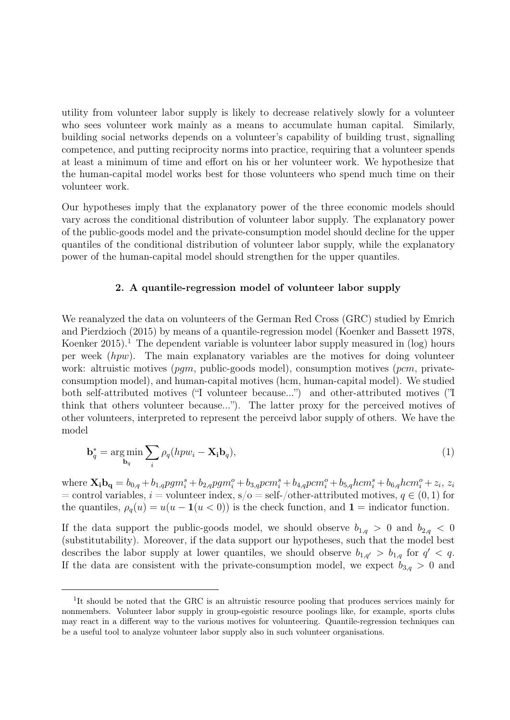utility from volunteer labor supply is likely to decrease relatively slowly for a volunteer who sees volunteer work mainly as a means to accumulate human capital. Similarly, building social networks depends on a volunteer's capability of building trust, signalling competence, and putting reciprocity norms into practice, requiring that a volunteer spends at least a minimum of time and effort on his or her volunteer work. We hypothesize that the human-capital model works best for those volunteers who spend much time on their volunteer work.

Our hypotheses imply that the explanatory power of the three economic models should vary across the conditional distribution of volunteer labor supply. The explanatory power of the public-goods model and the private-consumption model should decline for the upper quantiles of the conditional distribution of volunteer labor supply, while the explanatory power of the human-capital model should strengthen for the upper quantiles.

#### 2. A quantile-regression model of volunteer labor supply

We reanalyzed the data on volunteers of the German Red Cross (GRC) studied by Emrich and Pierdzioch (2015) by means of a quantile-regression model (Koenker and Bassett 1978, Koenker 20[1](#page-2-0)5).<sup>1</sup> The dependent variable is volunteer labor supply measured in  $(\log)$  hours per week  $(hpw)$ . The main explanatory variables are the motives for doing volunteer work: altruistic motives  $(pqm, public\text{-}goods \text{ model})$ , consumption motives  $(pcm, private$ consumption model), and human-capital motives (hcm, human-capital model). We studied both self-attributed motives ("I volunteer because...") and other-attributed motives ("I think that others volunteer because..."). The latter proxy for the perceived motives of other volunteers, interpreted to represent the perceivd labor supply of others. We have the model

$$
\mathbf{b}_q^* = \underset{\mathbf{b}_q}{\arg\min} \sum_i \rho_q(hpw_i - \mathbf{X_i}\mathbf{b}_q),\tag{1}
$$

where  $\mathbf{X_i b_q} = b_{0,q} + b_{1,q} p g m_i^s + b_{2,q} p g m_i^o + b_{3,q} p c m_i^s + b_{4,q} p c m_i^o + b_{5,q} h c m_i^s + b_{6,q} h c m_i^o + z_i$ ,  $z_i$  $=$  control variables,  $i =$  volunteer index, s/o = self-/other-attributed motives,  $q \in (0, 1)$  for the quantiles,  $\rho_q(u) = u(u - \mathbf{1}(u < 0))$  is the check function, and  $\mathbf{1} =$  indicator function.

If the data support the public-goods model, we should observe  $b_{1,q} > 0$  and  $b_{2,q} < 0$ (substitutability). Moreover, if the data support our hypotheses, such that the model best describes the labor supply at lower quantiles, we should observe  $b_{1,q'} > b_{1,q}$  for  $q' < q$ . If the data are consistent with the private-consumption model, we expect  $b_{3,q} > 0$  and

<span id="page-2-0"></span><sup>&</sup>lt;sup>1</sup>It should be noted that the GRC is an altruistic resource pooling that produces services mainly for nonmembers. Volunteer labor supply in group-egoistic resource poolings like, for example, sports clubs may react in a different way to the various motives for volunteering. Quantile-regression techniques can be a useful tool to analyze volunteer labor supply also in such volunteer organisations.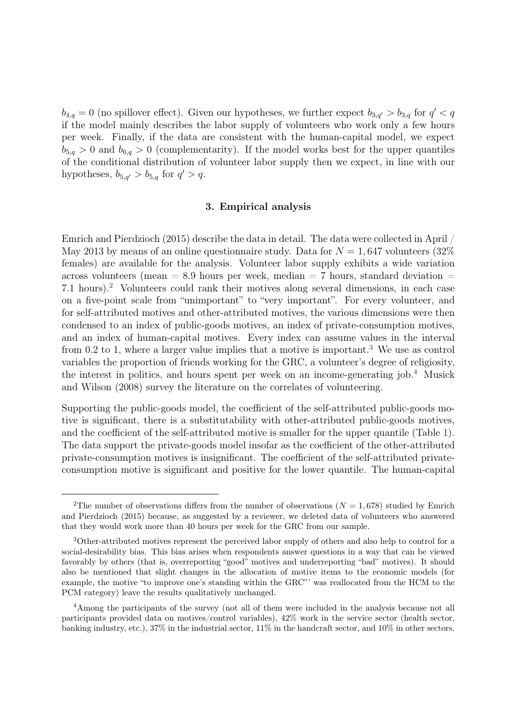$b_{4,q} = 0$  (no spillover effect). Given our hypotheses, we further expect  $b_{3,q'} > b_{3,q}$  for  $q' < q$ if the model mainly describes the labor supply of volunteers who work only a few hours per week. Finally, if the data are consistent with the human-capital model, we expect  $b_{5,q} > 0$  and  $b_{6,q} > 0$  (complementarity). If the model works best for the upper quantiles of the conditional distribution of volunteer labor supply then we expect, in line with our hypotheses,  $b_{5,q'} > b_{5,q}$  for  $q' > q$ .

#### 3. Empirical analysis

Emrich and Pierdzioch (2015) describe the data in detail. The data were collected in April / May 2013 by means of an online questionnaire study. Data for  $N = 1,647$  volunteers (32%) females) are available for the analysis. Volunteer labor supply exhibits a wide variation across volunteers (mean  $= 8.9$  hours per week, median  $= 7$  hours, standard deviation  $=$ 7.1 hours).[2](#page-3-0) Volunteers could rank their motives along several dimensions, in each case on a five-point scale from "unimportant" to "very important". For every volunteer, and for self-attributed motives and other-attributed motives, the various dimensions were then condensed to an index of public-goods motives, an index of private-consumption motives, and an index of human-capital motives. Every index can assume values in the interval from 0.2 to 1, where a larger value implies that a motive is important.[3](#page-3-1) We use as control variables the proportion of friends working for the GRC, a volunteer's degree of religiosity, the interest in politics, and hours spent per week on an income-generating job.[4](#page-3-2) Musick and Wilson (2008) survey the literature on the correlates of volunteering.

Supporting the public-goods model, the coefficient of the self-attributed public-goods motive is significant, there is a substitutability with other-attributed public-goods motives, and the coefficient of the self-attributed motive is smaller for the upper quantile (Table [1\)](#page-4-0). The data support the private-goods model insofar as the coefficient of the other-attributed private-consumption motives is insignificant. The coefficient of the self-attributed privateconsumption motive is significant and positive for the lower quantile. The human-capital

<span id="page-3-0"></span><sup>&</sup>lt;sup>2</sup>The number of observations differs from the number of observations ( $N = 1,678$ ) studied by Emrich and Pierdzioch (2015) because, as suggested by a reviewer, we deleted data of volunteers who answered that they would work more than 40 hours per week for the GRC from our sample.

<span id="page-3-1"></span><sup>3</sup>Other-attributed motives represent the perceived labor supply of others and also help to control for a social-desirability bias. This bias arises when respondents answer questions in a way that can be viewed favorably by others (that is, overreporting "good" motives and underreporting "bad" motives). It should also be mentioned that slight changes in the allocation of motive items to the economic models (for example, the motive "to improve one's standing within the GRC"' was reallocated from the HCM to the PCM category) leave the results qualitatively unchanged.

<span id="page-3-2"></span><sup>&</sup>lt;sup>4</sup>Among the participants of the survey (not all of them were included in the analysis because not all participants provided data on motives/control variables), 42% work in the service sector (health sector, banking industry, etc.), 37% in the industrial sector, 11% in the handcraft sector, and 10% in other sectors.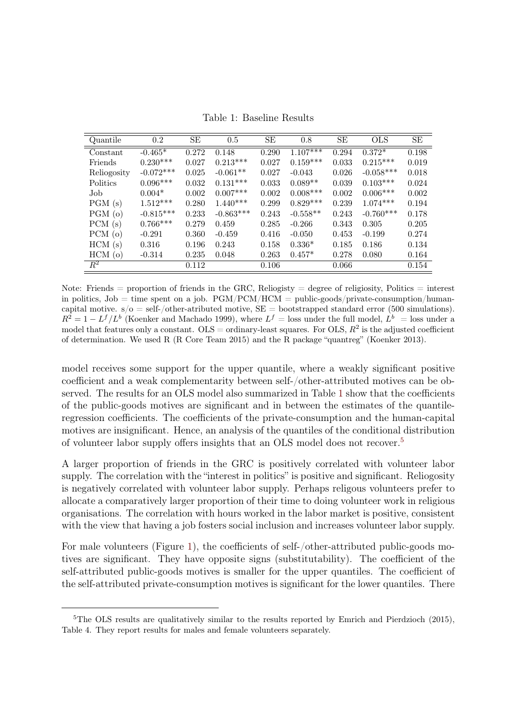Quantile 0.2 SE 0.5 SE 0.8 SE OLS SE  $\begin{tabular}{lllllllll} \multicolumn{1}{l}{} & -0.465^* & 0.272 & 0.148 & 0.290 & 1.107^{***} & 0.294 & 0.372^* & 0.198 \\ \multicolumn{1}{l}{} & 0.230^{***} & 0.027 & 0.213^{***} & 0.027 & 0.159^{***} & 0.033 & 0.215^{***} & 0.019 \\ \end{tabular}$ Friends 0.230\*\*\* 0.027 0.213\*\*\* 0.027 0.159\*\*\* 0.033 0.215\*\*\* 0.019 Reliogosity -0.072\*\*\* 0.025 -0.061\*\* 0.027 -0.043 0.026 -0.058\*\*\* 0.018 Politics 0.096\*\*\* 0.032 0.131\*\*\* 0.033 0.089\*\* 0.039 0.103\*\*\* 0.024  ${\rm Job} \qquad \qquad 0.004^{*} \qquad \quad 0.002 \quad 0.007^{***} \qquad \quad 0.002 \quad \quad 0.008^{***} \qquad \quad 0.002 \quad \quad 0.006^{***} \qquad \quad 0.002$  $\begin{array}{ccccccccccccc} \text{PGM (s)} & 1.512^{***} & 0.280 & 1.440^{***} & 0.299 & 0.829^{***} & 0.239 & 1.074^{***} & 0.194 \\ \text{PGM (o)} & -0.815^{***} & 0.233 & -0.863^{***} & 0.243 & -0.558^{**} & 0.243 & -0.760^{***} & 0.178 \\ \end{array}$ PGM (o)  $-0.815***$  0.233  $-0.863***$  0.243  $-0.558**$  0.243  $-0.760***$  0.178 PCM (s) 0.766\*\*\* 0.279 0.459 0.285 -0.266 0.343 0.305 0.205 PCM (o) -0.291 0.360 -0.459 0.416 -0.050 0.453 -0.199 0.274 HCM (s) 0.316 0.196 0.243 0.158 0.336\* 0.185 0.186 0.134

<span id="page-4-0"></span>Table 1: Baseline Results

Note: Friends = proportion of friends in the GRC, Religiosity = degree of religiosity, Politics = interest in politics,  $Job =$  time spent on a job.  $PGM/PCM/HCM =$  public-goods/private-consumption/humancapital motive.  $s/\sigma = \text{self-}/\text{other-artibuted}$  motive,  $SE = \text{bootstraped standard error}$  (500 simulations).  $R^2 = 1 - L^f/L^b$  (Koenker and Machado 1999), where  $L^f =$  loss under the full model,  $L^b =$  loss under a model that features only a constant.  $OLS = \text{ordinary-least squares.}$  For OLS,  $R^2$  is the adjusted coefficient of determination. We used R (R Core Team 2015) and the R package "quantreg" (Koenker 2013).

HCM (o) -0.314 0.235 0.048 0.263 0.457\* 0.278 0.080 0.164  $R^2$  0.112 0.106 0.066 0.154

model receives some support for the upper quantile, where a weakly significant positive coefficient and a weak complementarity between self-/other-attributed motives can be observed. The results for an OLS model also summarized in Table [1](#page-4-0) show that the coefficients of the public-goods motives are significant and in between the estimates of the quantileregression coefficients. The coefficients of the private-consumption and the human-capital motives are insignificant. Hence, an analysis of the quantiles of the conditional distribution of volunteer labor supply offers insights that an OLS model does not recover.<sup>[5](#page-4-1)</sup>

A larger proportion of friends in the GRC is positively correlated with volunteer labor supply. The correlation with the "interest in politics" is positive and significant. Reliogosity is negatively correlated with volunteer labor supply. Perhaps religous volunteers prefer to allocate a comparatively larger proportion of their time to doing volunteer work in religious organisations. The correlation with hours worked in the labor market is positive, consistent with the view that having a job fosters social inclusion and increases volunteer labor supply.

For male volunteers (Figure [1\)](#page-5-0), the coefficients of self-/other-attributed public-goods motives are significant. They have opposite signs (substitutability). The coefficient of the self-attributed public-goods motives is smaller for the upper quantiles. The coefficient of the self-attributed private-consumption motives is significant for the lower quantiles. There

<span id="page-4-1"></span><sup>&</sup>lt;sup>5</sup>The OLS results are qualitatively similar to the results reported by Emrich and Pierdzioch (2015), Table 4. They report results for males and female volunteers separately.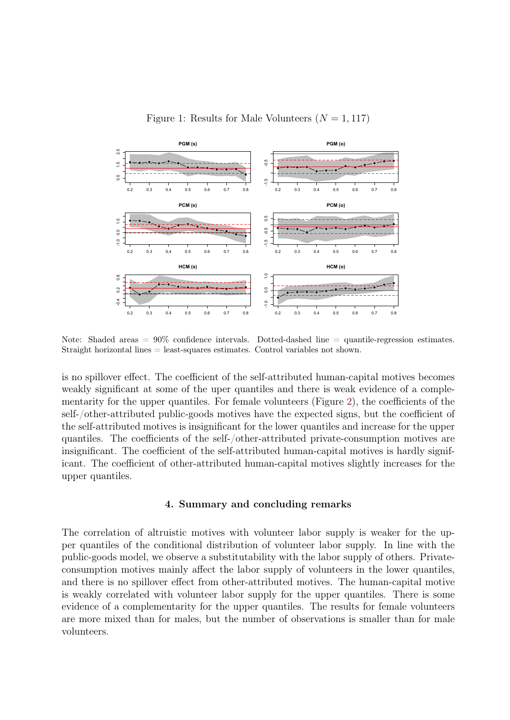

<span id="page-5-0"></span>Figure 1: Results for Male Volunteers  $(N = 1, 117)$ 

Note: Shaded areas  $= 90\%$  confidence intervals. Dotted-dashed line  $=$  quantile-regression estimates. Straight horizontal lines = least-squares estimates. Control variables not shown.

is no spillover effect. The coefficient of the self-attributed human-capital motives becomes weakly significant at some of the uper quantiles and there is weak evidence of a complementarity for the upper quantiles. For female volunteers (Figure [2\)](#page-6-0), the coefficients of the self-/other-attributed public-goods motives have the expected signs, but the coefficient of the self-attributed motives is insignificant for the lower quantiles and increase for the upper quantiles. The coefficients of the self-/other-attributed private-consumption motives are insignificant. The coefficient of the self-attributed human-capital motives is hardly significant. The coefficient of other-attributed human-capital motives slightly increases for the upper quantiles.

#### 4. Summary and concluding remarks

The correlation of altruistic motives with volunteer labor supply is weaker for the upper quantiles of the conditional distribution of volunteer labor supply. In line with the public-goods model, we observe a substitutability with the labor supply of others. Privateconsumption motives mainly affect the labor supply of volunteers in the lower quantiles, and there is no spillover effect from other-attributed motives. The human-capital motive is weakly correlated with volunteer labor supply for the upper quantiles. There is some evidence of a complementarity for the upper quantiles. The results for female volunteers are more mixed than for males, but the number of observations is smaller than for male volunteers.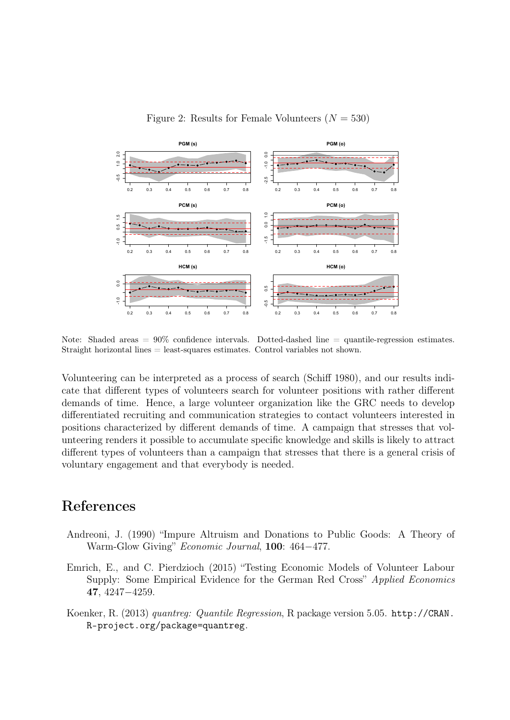

<span id="page-6-0"></span>Figure 2: Results for Female Volunteers  $(N = 530)$ 

Note: Shaded areas  $= 90\%$  confidence intervals. Dotted-dashed line  $=$  quantile-regression estimates. Straight horizontal lines = least-squares estimates. Control variables not shown.

Volunteering can be interpreted as a process of search (Schiff 1980), and our results indicate that different types of volunteers search for volunteer positions with rather different demands of time. Hence, a large volunteer organization like the GRC needs to develop differentiated recruiting and communication strategies to contact volunteers interested in positions characterized by different demands of time. A campaign that stresses that volunteering renders it possible to accumulate specific knowledge and skills is likely to attract different types of volunteers than a campaign that stresses that there is a general crisis of voluntary engagement and that everybody is needed.

### References

- Andreoni, J. (1990) "Impure Altruism and Donations to Public Goods: A Theory of Warm-Glow Giving" Economic Journal, 100: 464−477.
- Emrich, E., and C. Pierdzioch (2015) "Testing Economic Models of Volunteer Labour Supply: Some Empirical Evidence for the German Red Cross" Applied Economics 47, 4247−4259.
- Koenker, R. (2013) quantreg: Quantile Regression, R package version 5.05. [http://CRAN.](http://CRAN.R-project.org/package=quantreg) [R-project.org/package=quantreg](http://CRAN.R-project.org/package=quantreg).